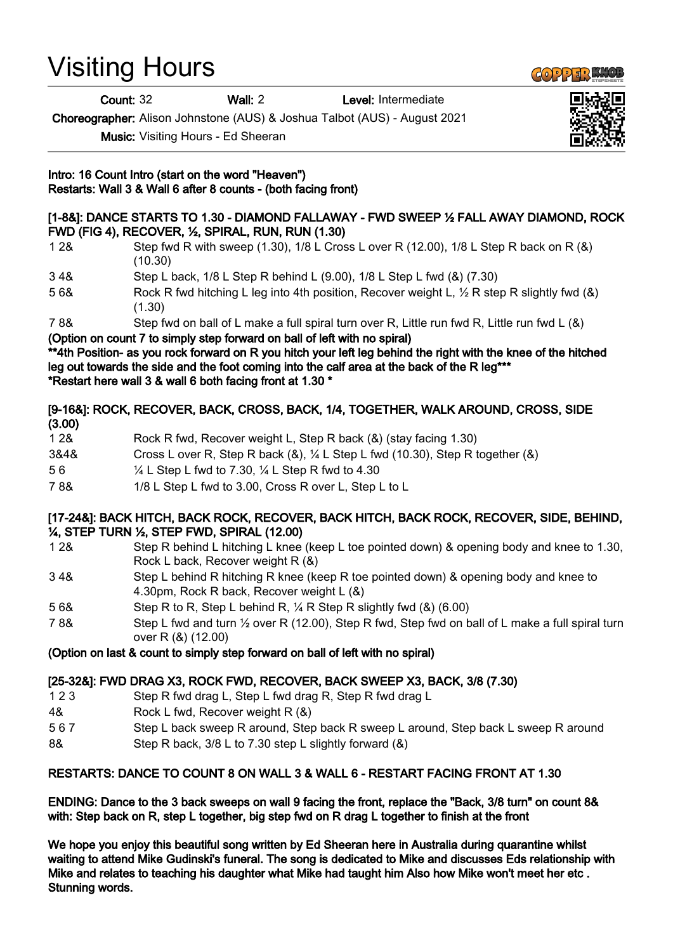# Visiting Hours

Count: 32 Wall: 2 Level: Intermediate

Choreographer: Alison Johnstone (AUS) & Joshua Talbot (AUS) - August 2021

Music: Visiting Hours - Ed Sheeran

Intro: 16 Count Intro (start on the word "Heaven") Restarts: Wall 3 & Wall 6 after 8 counts - (both facing front)

#### [1-8&]: DANCE STARTS TO 1.30 - DIAMOND FALLAWAY - FWD SWEEP 1/2 FALL AWAY DIAMOND, ROCK FWD (FIG 4), RECOVER, ½, SPIRAL, RUN, RUN (1.30)

- 1 2& Step fwd R with sweep (1.30), 1/8 L Cross L over R (12.00), 1/8 L Step R back on R (&) (10.30)
- 3 4& Step L back, 1/8 L Step R behind L (9.00), 1/8 L Step L fwd (&) (7.30)
- 5 6& Rock R fwd hitching L leg into 4th position, Recover weight L, ½ R step R slightly fwd (&) (1.30)
- 7 8& Step fwd on ball of L make a full spiral turn over R, Little run fwd R, Little run fwd L (&)

(Option on count 7 to simply step forward on ball of left with no spiral)

\*\*4th Position- as you rock forward on R you hitch your left leg behind the right with the knee of the hitched leg out towards the side and the foot coming into the calf area at the back of the R leg<sup>\*\*\*</sup> \*Restart here wall 3 & wall 6 both facing front at 1.30 \*

## [9-16&]: ROCK, RECOVER, BACK, CROSS, BACK, 1/4, TOGETHER, WALK AROUND, CROSS, SIDE (3.00)

| 1 2 & | Rock R fwd, Recover weight L, Step R back (&) (stay facing 1.30)                              |
|-------|-----------------------------------------------------------------------------------------------|
| 3&4&  | Cross L over R, Step R back $(8)$ , $\frac{1}{4}$ L Step L fwd (10.30), Step R together $(8)$ |

- 5 6 ¼ L Step L fwd to 7.30, ¼ L Step R fwd to 4.30
- 7 8& 1/8 L Step L fwd to 3.00, Cross R over L, Step L to L

### [17-24&]: BACK HITCH, BACK ROCK, RECOVER, BACK HITCH, BACK ROCK, RECOVER, SIDE, BEHIND, ¼, STEP TURN ½, STEP FWD, SPIRAL (12.00)

- 1 2& Step R behind L hitching L knee (keep L toe pointed down) & opening body and knee to 1.30, Rock L back, Recover weight R (&)
- 3 4& Step L behind R hitching R knee (keep R toe pointed down) & opening body and knee to 4.30pm, Rock R back, Recover weight L (&)
- 5 6& Step R to R, Step L behind R, ¼ R Step R slightly fwd (&) (6.00)
- 7 8& Step L fwd and turn ½ over R (12.00), Step R fwd, Step fwd on ball of L make a full spiral turn over R (&) (12.00)

# (Option on last & count to simply step forward on ball of left with no spiral)

# [25-32&]: FWD DRAG X3, ROCK FWD, RECOVER, BACK SWEEP X3, BACK, 3/8 (7.30)

- 1 2 3 Step R fwd drag L, Step L fwd drag R, Step R fwd drag L
- 4& Rock L fwd, Recover weight R (&)
- 5 6 7 Step L back sweep R around, Step back R sweep L around, Step back L sweep R around
- 8& Step R back, 3/8 L to 7.30 step L slightly forward (&)

#### RESTARTS: DANCE TO COUNT 8 ON WALL 3 & WALL 6 - RESTART FACING FRONT AT 1.30

ENDING: Dance to the 3 back sweeps on wall 9 facing the front, replace the "Back, 3/8 turn" on count 8& with: Step back on R, step L together, big step fwd on R drag L together to finish at the front

We hope you enjoy this beautiful song written by Ed Sheeran here in Australia during quarantine whilst waiting to attend Mike Gudinski's funeral. The song is dedicated to Mike and discusses Eds relationship with Mike and relates to teaching his daughter what Mike had taught him Also how Mike won't meet her etc . Stunning words.